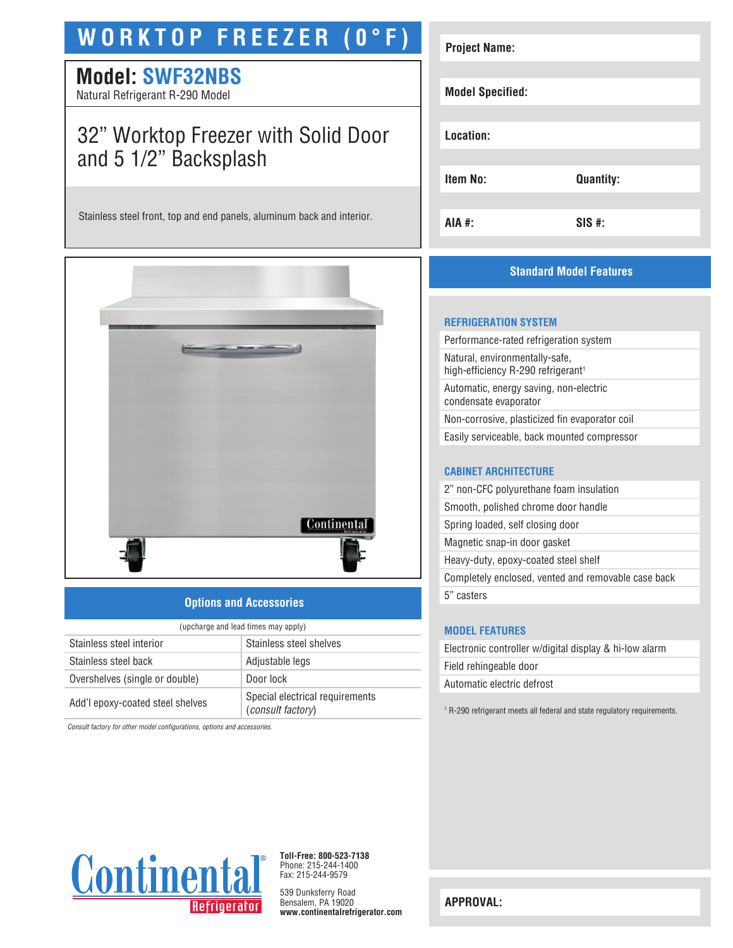# **WORKTOP FREEZER (0°F)**

# **Model: SWF32NBS**

Natural Refrigerant R-290 Model

# 32" Worktop Freezer with Solid Door and 5 1/2" Backsplash

Stainless steel front, top and end panels, aluminum back and interior.



## **Options and Accessories**

| (upcharge and lead times may apply) |                                                             |  |
|-------------------------------------|-------------------------------------------------------------|--|
| Stainless steel interior            | Stainless steel shelves                                     |  |
| Stainless steel back                | Adjustable legs                                             |  |
| Overshelves (single or double)      | Door lock                                                   |  |
| Add'l epoxy-coated steel shelves    | Special electrical requirements<br><i>(consult factory)</i> |  |

*Consult factory for other model configurations, options and accessories.*

| <b>Project Name:</b>    |                  |
|-------------------------|------------------|
| <b>Model Specified:</b> |                  |
| Location:               |                  |
| Item No:                | <b>Quantity:</b> |
| <b>AIA #:</b>           | $SIS$ #:         |

# **Standard Model Features**

#### **REFRIGERATION SYSTEM**

Performance-rated refrigeration system Natural, environmentally-safe, high-efficiency R-290 refrigerant<sup>1</sup> Automatic, energy saving, non-electric condensate evaporator Non-corrosive, plasticized fin evaporator coil Easily serviceable, back mounted compressor

## **CABINET ARCHITECTURE**

2" non-CFC polyurethane foam insulation Smooth, polished chrome door handle Spring loaded, self closing door Magnetic snap-in door gasket Heavy-duty, epoxy-coated steel shelf Completely enclosed, vented and removable case back 5" casters

## **MODEL FEATURES**

| Electronic controller w/digital display & hi-low alarm |
|--------------------------------------------------------|
| Field rehingeable door                                 |
| Automatic electric defrost                             |
|                                                        |

1 R-290 refrigerant meets all federal and state regulatory requirements.



**Toll-Free: 800-523-7138** Phone: 215-244-1400 Fax: 215-244-9579

539 Dunksferry Road Bensalem, PA 19020 **www.continentalrefrigerator.com** 

**APPROVAL:**